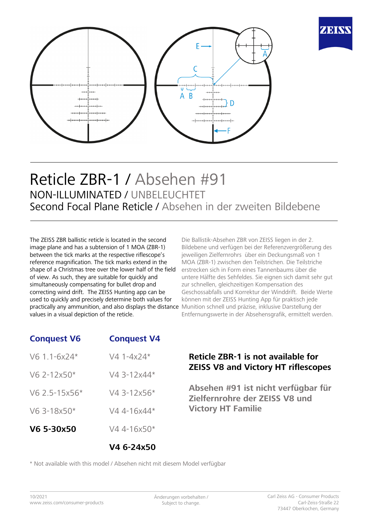



## Reticle ZBR-1 / Absehen #91 NON-ILLUMINATED / UNBELEUCHTET Second Focal Plane Reticle / Absehen in der zweiten Bildebene

The ZEISS ZBR ballistic reticle is located in the second image plane and has a subtension of 1 MOA (ZBR-1) between the tick marks at the respective riflescope's reference magnification. The tick marks extend in the shape of a Christmas tree over the lower half of the field of view. As such, they are suitable for quickly and simultaneously compensating for bullet drop and correcting wind drift. The ZEISS Hunting app can be used to quickly and precisely determine both values for practically any ammunition, and also displays the distance Munition schnell und präzise, inklusive Darstellung der values in a visual depiction of the reticle.

Die Ballistik-Absehen ZBR von ZEISS liegen in der 2. Bildebene und verfügen bei der Referenzvergrößerung des jeweiligen Zielfernrohrs über ein Deckungsmaß von 1 MOA (ZBR-1) zwischen den Teilstrichen. Die Teilstriche erstrecken sich in Form eines Tannenbaums über die untere Hälfte des Sehfeldes. Sie eignen sich damit sehr gut zur schnellen, gleichzeitigen Kompensation des Geschossabfalls und Korrektur der Winddrift. Beide Werte können mit der ZEISS Hunting App für praktisch jede Entfernungswerte in der Absehensgrafik, ermittelt werden.

### **Conquest V6 Conquest V4**

| V6 5-30x50     | $V44-16x50*$ |
|----------------|--------------|
| V6 3-18x50*    | V4 4-16x44*  |
| V6 2.5-15x56*  | V4 3-12x56*  |
| $V6$ 2-12x50*  | V4 3-12x44*  |
| $V6$ 1.1-6x24* | $V4 1-4x24*$ |

#### **Reticle ZBR-1 is not available for ZEISS V8 and Victory HT riflescopes**

**Absehen #91 ist nicht verfügbar für Zielfernrohre der ZEISS V8 und Victory HT Familie**

\* Not available with this model / Absehen nicht mit diesem Model verfügbar

**V4 6-24x50**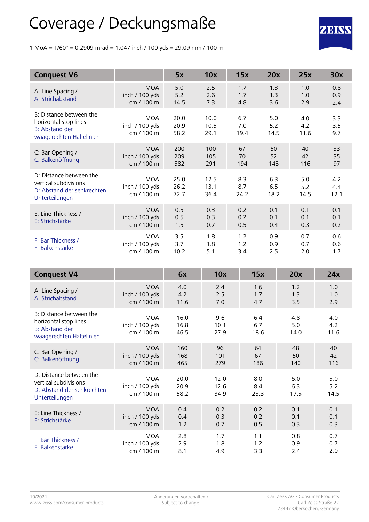# Coverage / Deckungsmaße

1 MoA =  $1/60^{\circ}$  = 0,2909 mrad = 1,047 inch / 100 yds = 29,09 mm / 100 m

| <b>Conquest V6</b>                                                                                    |                                            | 5x                   | 10x                  | 15x                | 20x                | 25x                | 30x                |
|-------------------------------------------------------------------------------------------------------|--------------------------------------------|----------------------|----------------------|--------------------|--------------------|--------------------|--------------------|
| A: Line Spacing /<br>A: Strichabstand                                                                 | <b>MOA</b><br>inch / 100 yds<br>cm / 100 m | 5.0<br>5.2<br>14.5   | 2.5<br>2.6<br>7.3    | 1.7<br>1.7<br>4.8  | 1.3<br>1.3<br>3.6  | 1.0<br>1.0<br>2.9  | 0.8<br>0.9<br>2.4  |
| B: Distance between the<br>horizontal stop lines<br><b>B: Abstand der</b><br>waagerechten Haltelinien | <b>MOA</b><br>inch / 100 yds<br>cm / 100 m | 20.0<br>20.9<br>58.2 | 10.0<br>10.5<br>29.1 | 6.7<br>7.0<br>19.4 | 5.0<br>5.2<br>14.5 | 4.0<br>4.2<br>11.6 | 3.3<br>3.5<br>9.7  |
| C: Bar Opening /<br>C: Balkenöffnung                                                                  | <b>MOA</b><br>inch / 100 yds<br>cm / 100 m | 200<br>209<br>582    | 100<br>105<br>291    | 67<br>70<br>194    | 50<br>52<br>145    | 40<br>42<br>116    | 33<br>35<br>97     |
| D: Distance between the<br>vertical subdivisions<br>D: Abstand der senkrechten<br>Unterteilungen      | <b>MOA</b><br>inch / 100 yds<br>cm / 100 m | 25.0<br>26.2<br>72.7 | 12.5<br>13.1<br>36.4 | 8.3<br>8.7<br>24.2 | 6.3<br>6.5<br>18.2 | 5.0<br>5.2<br>14.5 | 4.2<br>4.4<br>12.1 |
| E: Line Thickness /<br>E: Strichstärke                                                                | <b>MOA</b><br>inch / 100 yds<br>cm / 100 m | 0.5<br>0.5<br>1.5    | 0.3<br>0.3<br>0.7    | 0.2<br>0.2<br>0.5  | 0.1<br>0.1<br>0.4  | 0.1<br>0.1<br>0.3  | 0.1<br>0.1<br>0.2  |
| F: Bar Thickness /<br>F: Balkenstärke                                                                 | <b>MOA</b><br>inch / 100 yds<br>cm / 100 m | 3.5<br>3.7<br>10.2   | 1.8<br>1.8<br>5.1    | 1.2<br>1.2<br>3.4  | 0.9<br>0.9<br>2.5  | 0.7<br>0.7<br>2.0  | 0.6<br>0.6<br>1.7  |

| <b>Conquest V4</b>                                                                               |                                            | 6x                   | 10x                  | 15x                | 20x                | 24x                |
|--------------------------------------------------------------------------------------------------|--------------------------------------------|----------------------|----------------------|--------------------|--------------------|--------------------|
| A: Line Spacing /<br>A: Strichabstand                                                            | <b>MOA</b><br>inch / 100 yds<br>cm / 100 m | 4.0<br>4.2<br>11.6   | 2.4<br>2.5<br>7.0    | 1.6<br>1.7<br>4.7  | 1.2<br>1.3<br>3.5  | 1.0<br>1.0<br>2.9  |
| B: Distance between the<br>horizontal stop lines<br>B: Abstand der<br>waagerechten Haltelinien   | <b>MOA</b><br>inch / 100 yds<br>cm / 100 m | 16.0<br>16.8<br>46.5 | 9.6<br>10.1<br>27.9  | 6.4<br>6.7<br>18.6 | 4.8<br>5.0<br>14.0 | 4.0<br>4.2<br>11.6 |
| C: Bar Opening /<br>C: Balkenöffnung                                                             | <b>MOA</b><br>inch / 100 yds<br>cm / 100 m | 160<br>168<br>465    | 96<br>101<br>279     | 64<br>67<br>186    | 48<br>50<br>140    | 40<br>42<br>116    |
| D: Distance between the<br>vertical subdivisions<br>D: Abstand der senkrechten<br>Unterteilungen | <b>MOA</b><br>inch / 100 yds<br>cm / 100 m | 20.0<br>20.9<br>58.2 | 12.0<br>12.6<br>34.9 | 8.0<br>8.4<br>23.3 | 6.0<br>6.3<br>17.5 | 5.0<br>5.2<br>14.5 |
| E: Line Thickness /<br>E: Strichstärke                                                           | <b>MOA</b><br>inch / 100 yds<br>cm / 100 m | 0.4<br>0.4<br>1.2    | 0.2<br>0.3<br>0.7    | 0.2<br>0.2<br>0.5  | 0.1<br>0.1<br>0.3  | 0.1<br>0.1<br>0.3  |
| F: Bar Thickness /<br>F: Balkenstärke                                                            | <b>MOA</b><br>inch / 100 yds<br>cm / 100 m | 2.8<br>2.9<br>8.1    | 1.7<br>1.8<br>4.9    | 1.1<br>1.2<br>3.3  | 0.8<br>0.9<br>2.4  | 0.7<br>0.7<br>2.0  |